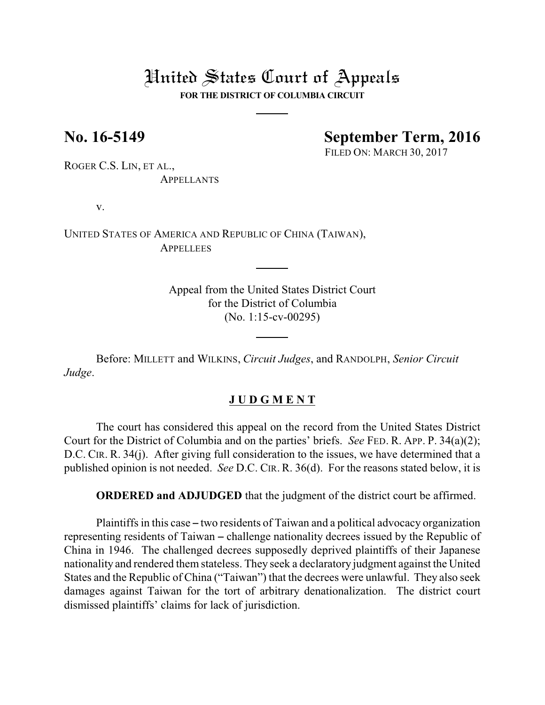## United States Court of Appeals

**FOR THE DISTRICT OF COLUMBIA CIRCUIT**

**No. 16-5149 September Term, 2016**

FILED ON: MARCH 30, 2017

ROGER C.S. LIN, ET AL., **APPELLANTS** 

v.

UNITED STATES OF AMERICA AND REPUBLIC OF CHINA (TAIWAN), **APPELLEES** 

> Appeal from the United States District Court for the District of Columbia (No. 1:15-cv-00295)

Before: MILLETT and WILKINS, *Circuit Judges*, and RANDOLPH, *Senior Circuit Judge*.

## **J U D G M E N T**

The court has considered this appeal on the record from the United States District Court for the District of Columbia and on the parties' briefs. *See* FED. R. APP. P. 34(a)(2); D.C. CIR. R. 34(j). After giving full consideration to the issues, we have determined that a published opinion is not needed. *See* D.C. CIR. R. 36(d). For the reasons stated below, it is

**ORDERED and ADJUDGED** that the judgment of the district court be affirmed.

Plaintiffs in this case – two residents of Taiwan and a political advocacy organization representing residents of Taiwan – challenge nationality decrees issued by the Republic of China in 1946. The challenged decrees supposedly deprived plaintiffs of their Japanese nationality and rendered them stateless. They seek a declaratory judgment against the United States and the Republic of China ("Taiwan") that the decrees were unlawful. They also seek damages against Taiwan for the tort of arbitrary denationalization. The district court dismissed plaintiffs' claims for lack of jurisdiction.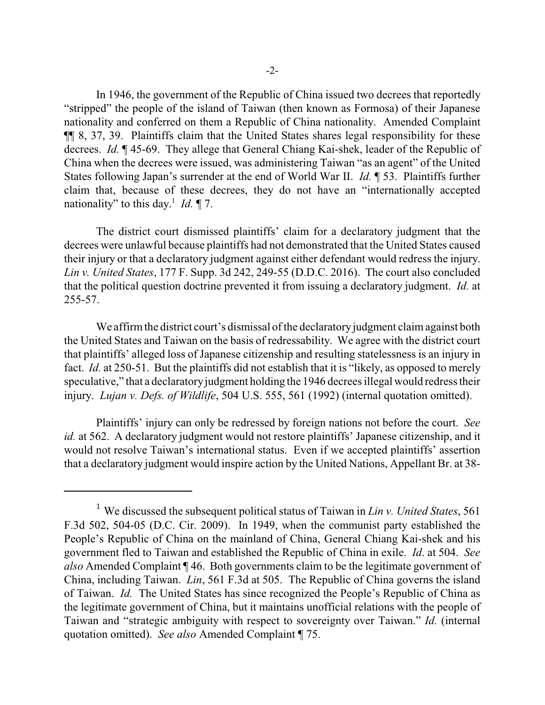In 1946, the government of the Republic of China issued two decrees that reportedly "stripped" the people of the island of Taiwan (then known as Formosa) of their Japanese nationality and conferred on them a Republic of China nationality. Amended Complaint ¶¶ 8, 37, 39. Plaintiffs claim that the United States shares legal responsibility for these decrees. *Id.* ¶ 45-69. They allege that General Chiang Kai-shek, leader of the Republic of China when the decrees were issued, was administering Taiwan "as an agent" of the United States following Japan's surrender at the end of World War II. *Id.* ¶ 53. Plaintiffs further claim that, because of these decrees, they do not have an "internationally accepted nationality" to this day.<sup>1</sup> *Id.*  $\P$  7.

The district court dismissed plaintiffs' claim for a declaratory judgment that the decrees were unlawful because plaintiffs had not demonstrated that the United States caused their injury or that a declaratory judgment against either defendant would redress the injury. *Lin v. United States*, 177 F. Supp. 3d 242, 249-55 (D.D.C. 2016). The court also concluded that the political question doctrine prevented it from issuing a declaratory judgment. *Id.* at 255-57.

We affirm the district court's dismissal of the declaratory judgment claim against both the United States and Taiwan on the basis of redressability. We agree with the district court that plaintiffs' alleged loss of Japanese citizenship and resulting statelessness is an injury in fact. *Id.* at 250-51. But the plaintiffs did not establish that it is "likely, as opposed to merely speculative," that a declaratory judgment holding the 1946 decrees illegal would redress their injury. *Lujan v. Defs. of Wildlife*, 504 U.S. 555, 561 (1992) (internal quotation omitted).

Plaintiffs' injury can only be redressed by foreign nations not before the court. *See id.* at 562. A declaratory judgment would not restore plaintiffs' Japanese citizenship, and it would not resolve Taiwan's international status. Even if we accepted plaintiffs' assertion that a declaratory judgment would inspire action by the United Nations, Appellant Br. at 38-

<sup>&</sup>lt;sup>1</sup> We discussed the subsequent political status of Taiwan in *Lin v. United States*, 561 F.3d 502, 504-05 (D.C. Cir. 2009). In 1949, when the communist party established the People's Republic of China on the mainland of China, General Chiang Kai-shek and his government fled to Taiwan and established the Republic of China in exile. *Id*. at 504. *See also* Amended Complaint ¶ 46. Both governments claim to be the legitimate government of China, including Taiwan. *Lin*, 561 F.3d at 505. The Republic of China governs the island of Taiwan. *Id.* The United States has since recognized the People's Republic of China as the legitimate government of China, but it maintains unofficial relations with the people of Taiwan and "strategic ambiguity with respect to sovereignty over Taiwan." *Id.* (internal quotation omitted). *See also* Amended Complaint ¶ 75.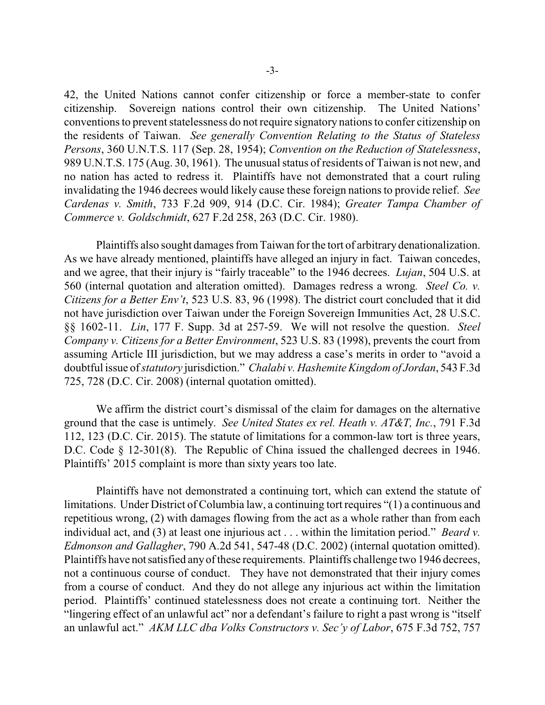42, the United Nations cannot confer citizenship or force a member-state to confer citizenship. Sovereign nations control their own citizenship. The United Nations' conventions to prevent statelessness do not require signatory nations to confer citizenship on the residents of Taiwan. *See generally Convention Relating to the Status of Stateless Persons*, 360 U.N.T.S. 117 (Sep. 28, 1954); *Convention on the Reduction of Statelessness*, 989 U.N.T.S. 175 (Aug. 30, 1961). The unusual status of residents of Taiwan is not new, and no nation has acted to redress it. Plaintiffs have not demonstrated that a court ruling invalidating the 1946 decrees would likely cause these foreign nations to provide relief. *See Cardenas v. Smith*, 733 F.2d 909, 914 (D.C. Cir. 1984); *Greater Tampa Chamber of Commerce v. Goldschmidt*, 627 F.2d 258, 263 (D.C. Cir. 1980).

Plaintiffs also sought damages fromTaiwan for the tort of arbitrary denationalization. As we have already mentioned, plaintiffs have alleged an injury in fact. Taiwan concedes, and we agree, that their injury is "fairly traceable" to the 1946 decrees. *Lujan*, 504 U.S. at 560 (internal quotation and alteration omitted). Damages redress a wrong*. Steel Co. v. Citizens for a Better Env't*, 523 U.S. 83, 96 (1998). The district court concluded that it did not have jurisdiction over Taiwan under the Foreign Sovereign Immunities Act, 28 U.S.C. §§ 1602-11. *Lin*, 177 F. Supp. 3d at 257-59. We will not resolve the question. *Steel Company v. Citizens for a Better Environment*, 523 U.S. 83 (1998), prevents the court from assuming Article III jurisdiction, but we may address a case's merits in order to "avoid a doubtful issue of*statutory* jurisdiction." *Chalabi v. Hashemite Kingdom of Jordan*, 543 F.3d 725, 728 (D.C. Cir. 2008) (internal quotation omitted).

We affirm the district court's dismissal of the claim for damages on the alternative ground that the case is untimely. *See United States ex rel. Heath v. AT&T, Inc.*, 791 F.3d 112, 123 (D.C. Cir. 2015). The statute of limitations for a common-law tort is three years, D.C. Code § 12-301(8). The Republic of China issued the challenged decrees in 1946. Plaintiffs' 2015 complaint is more than sixty years too late.

Plaintiffs have not demonstrated a continuing tort, which can extend the statute of limitations. Under District of Columbia law, a continuing tort requires "(1) a continuous and repetitious wrong, (2) with damages flowing from the act as a whole rather than from each individual act, and (3) at least one injurious act . . . within the limitation period." *Beard v. Edmonson and Gallagher*, 790 A.2d 541, 547-48 (D.C. 2002) (internal quotation omitted). Plaintiffs have not satisfied any of these requirements. Plaintiffs challenge two 1946 decrees, not a continuous course of conduct. They have not demonstrated that their injury comes from a course of conduct. And they do not allege any injurious act within the limitation period. Plaintiffs' continued statelessness does not create a continuing tort. Neither the "lingering effect of an unlawful act" nor a defendant's failure to right a past wrong is "itself an unlawful act." *AKM LLC dba Volks Constructors v. Sec'y of Labor*, 675 F.3d 752, 757